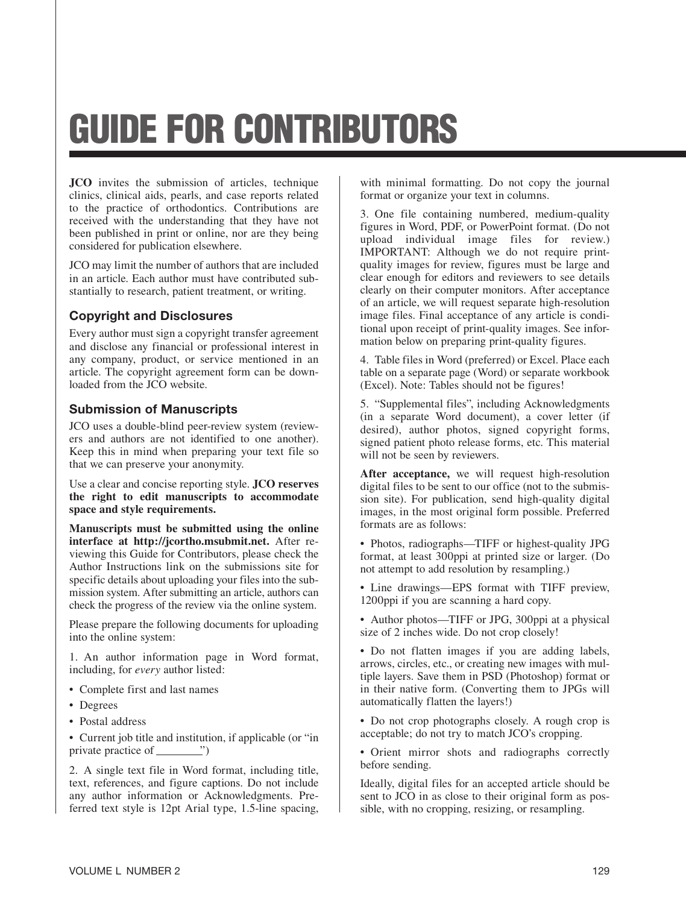# GUIDE FOR CONTRIBUTORS

**JCO** invites the submission of articles, technique clinics, clinical aids, pearls, and case reports related to the practice of orthodontics. Contributions are received with the understanding that they have not been published in print or online, nor are they being considered for publication elsewhere.

JCO may limit the number of authors that are included in an article. Each author must have contributed substantially to research, patient treatment, or writing.

## Copyright and Disclosures

Every author must sign a copyright transfer agreement and disclose any financial or professional interest in any company, product, or service mentioned in an article. The copyright agreement form can be downloaded from the JCO website.

## Submission of Manuscripts

JCO uses a double-blind peer-review system (reviewers and authors are not identified to one another). Keep this in mind when preparing your text file so that we can preserve your anonymity.

Use a clear and concise reporting style. **JCO reserves the right to edit manuscripts to accommodate space and style requirements.**

**Manuscripts must be submitted using the online**  interface at http://jcortho.msubmit.net. After reviewing this Guide for Contributors, please check the Author Instructions link on the submissions site for specific details about uploading your files into the submission system. After submitting an article, authors can check the progress of the review via the online system.

Please prepare the following documents for uploading into the online system:

1. An author information page in Word format, including, for *every* author listed:

- Complete first and last names
- Degrees
- Postal address

• Current job title and institution, if applicable (or "in private practice of  $\_\_\$ ")

2. A single text file in Word format, including title, text, references, and figure captions. Do not include any author information or Acknowledgments. Preferred text style is 12pt Arial type, 1.5-line spacing, with minimal formatting. Do not copy the journal format or organize your text in columns.

3. One file containing numbered, medium-quality figures in Word, PDF, or PowerPoint format. (Do not upload individual image files for review.) IMPORTANT: Although we do not require printquality images for review, figures must be large and clear enough for editors and reviewers to see details clearly on their computer monitors. After acceptance of an article, we will request separate high-resolution image files. Final acceptance of any article is conditional upon receipt of print-quality images. See information below on preparing print-quality figures.

4. Table files in Word (preferred) or Excel. Place each table on a separate page (Word) or separate workbook (Excel). Note: Tables should not be figures!

5. "Supplemental files", including Acknowledgments (in a separate Word document), a cover letter (if desired), author photos, signed copyright forms, signed patient photo release forms, etc. This material will not be seen by reviewers.

**After acceptance,** we will request high-resolution digital files to be sent to our office (not to the submission site). For publication, send high-quality digital images, in the most original form possible. Preferred formats are as follows:

• Photos, radiographs—TIFF or highest-quality JPG format, at least 300ppi at printed size or larger. (Do not attempt to add resolution by resampling.)

• Line drawings—EPS format with TIFF preview, 1200ppi if you are scanning a hard copy.

• Author photos—TIFF or JPG, 300ppi at a physical size of 2 inches wide. Do not crop closely!

• Do not flatten images if you are adding labels, arrows, circles, etc., or creating new images with multiple layers. Save them in PSD (Photoshop) format or in their native form. (Converting them to JPGs will automatically flatten the layers!)

• Do not crop photographs closely. A rough crop is acceptable; do not try to match JCO's cropping.

• Orient mirror shots and radiographs correctly before sending.

Ideally, digital files for an accepted article should be sent to JCO in as close to their original form as possible, with no cropping, resizing, or resampling.